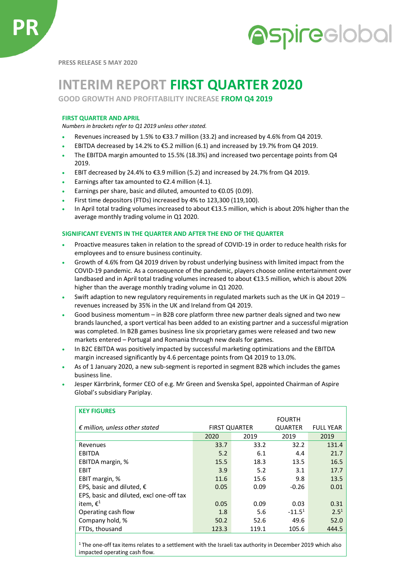

**PRESS RELEASE 5 MAY 2020**

# **INTERIM REPORT FIRST QUARTER 2020**

**GOOD GROWTH AND PROFITABILITY INCREASE FROM Q4 2019**

## **FIRST QUARTER AND APRIL**

*Numbers in brackets refer to Q1 2019 unless other stated.*

- Revenues increased by 1.5% to  $\epsilon$ 33.7 million (33.2) and increased by 4.6% from Q4 2019.
- EBITDA decreased by 14.2% to €5.2 million (6.1) and increased by 19.7% from Q4 2019.
- The EBITDA margin amounted to 15.5% (18.3%) and increased two percentage points from Q4 2019.
- EBIT decreased by 24.4% to €3.9 million (5.2) and increased by 24.7% from Q4 2019.
- Earnings after tax amounted to  $\epsilon$ 2.4 million (4.1).
- Earnings per share, basic and diluted, amounted to  $\epsilon$ 0.05 (0.09).
- First time depositors (FTDs) increased by 4% to 123,300 (119,100).
- In April total trading volumes increased to about €13.5 million, which is about 20% higher than the average monthly trading volume in Q1 2020.

## **SIGNIFICANT EVENTS IN THE QUARTER AND AFTER THE END OF THE QUARTER**

- Proactive measures taken in relation to the spread of COVID-19 in order to reduce health risks for employees and to ensure business continuity.
- Growth of 4.6% from Q4 2019 driven by robust underlying business with limited impact from the COVID-19 pandemic. As a consequence of the pandemic, players choose online entertainment over landbased and in April total trading volumes increased to about €13.5 million, which is about 20% higher than the average monthly trading volume in Q1 2020.
- Swift adaption to new regulatory requirements in regulated markets such as the UK in Q4 2019 − revenues increased by 35% in the UK and Ireland from Q4 2019.
- Good business momentum in B2B core platform three new partner deals signed and two new brands launched, a sport vertical has been added to an existing partner and a successful migration was completed. In B2B games business line six proprietary games were released and two new markets entered – Portugal and Romania through new deals for games.
- In B2C EBITDA was positively impacted by successful marketing optimizations and the EBITDA margin increased significantly by 4.6 percentage points from Q4 2019 to 13.0%.
- As of 1 January 2020, a new sub-segment is reported in segment B2B which includes the games business line.
- Jesper Kärrbrink, former CEO of e.g. Mr Green and Svenska Spel, appointed Chairman of Aspire Global's subsidiary Pariplay.

| <b>KEY FIGURES</b>                       |                      |       |                |                  |
|------------------------------------------|----------------------|-------|----------------|------------------|
|                                          |                      |       | <b>FOURTH</b>  |                  |
| $\epsilon$ million, unless other stated  | <b>FIRST QUARTER</b> |       | <b>QUARTER</b> | <b>FULL YEAR</b> |
|                                          | 2020                 | 2019  | 2019           | 2019             |
| Revenues                                 | 33.7                 | 33.2  | 32.2           | 131.4            |
| <b>EBITDA</b>                            | 5.2                  | 6.1   | 4.4            | 21.7             |
| EBITDA margin, %                         | 15.5                 | 18.3  | 13.5           | 16.5             |
| EBIT                                     | 3.9                  | 5.2   | 3.1            | 17.7             |
| EBIT margin, %                           | 11.6                 | 15.6  | 9.8            | 13.5             |
| EPS, basic and diluted, $\epsilon$       | 0.05                 | 0.09  | $-0.26$        | 0.01             |
| EPS, basic and diluted, excl one-off tax |                      |       |                |                  |
| item, $\epsilon^1$                       | 0.05                 | 0.09  | 0.03           | 0.31             |
| Operating cash flow                      | 1.8                  | 5.6   | $-11.51$       | 2.5 <sup>1</sup> |
| Company hold, %                          | 50.2                 | 52.6  | 49.6           | 52.0             |
| FTDs, thousand                           | 123.3                | 119.1 | 105.6          | 444.5            |

<sup>1</sup>The one-off tax items relates to a settlement with the Israeli tax authority in December 2019 which also impacted operating cash flow.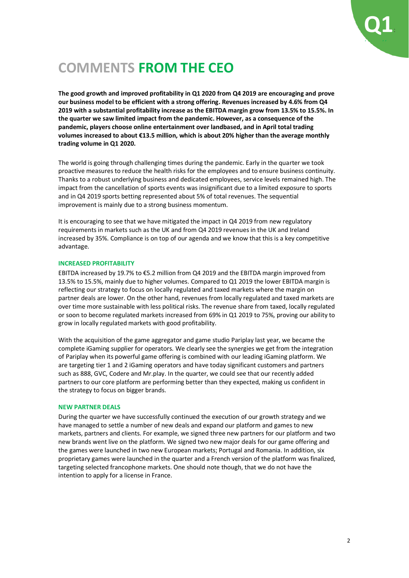

# **COMMENTS FROM THE CEO**

**The good growth and improved profitability in Q1 2020 from Q4 2019 are encouraging and prove our business model to be efficient with a strong offering. Revenues increased by 4.6% from Q4 2019 with a substantial profitability increase as the EBITDA margin grow from 13.5% to 15.5%. In the quarter we saw limited impact from the pandemic. However, as a consequence of the pandemic, players choose online entertainment over landbased, and in April total trading volumes increased to about €13.5 million, which is about 20% higher than the average monthly trading volume in Q1 2020.**

The world is going through challenging times during the pandemic. Early in the quarter we took proactive measures to reduce the health risks for the employees and to ensure business continuity. Thanks to a robust underlying business and dedicated employees, service levels remained high. The impact from the cancellation of sports events was insignificant due to a limited exposure to sports and in Q4 2019 sports betting represented about 5% of total revenues. The sequential improvement is mainly due to a strong business momentum.

It is encouraging to see that we have mitigated the impact in Q4 2019 from new regulatory requirements in markets such as the UK and from Q4 2019 revenues in the UK and Ireland increased by 35%. Compliance is on top of our agenda and we know that this is a key competitive advantage.

### **INCREASED PROFITABILITY**

EBITDA increased by 19.7% to €5.2 million from Q4 2019 and the EBITDA margin improved from 13.5% to 15.5%, mainly due to higher volumes. Compared to Q1 2019 the lower EBITDA margin is reflecting our strategy to focus on locally regulated and taxed markets where the margin on partner deals are lower. On the other hand, revenues from locally regulated and taxed markets are over time more sustainable with less political risks. The revenue share from taxed, locally regulated or soon to become regulated markets increased from 69% in Q1 2019 to 75%, proving our ability to grow in locally regulated markets with good profitability.

With the acquisition of the game aggregator and game studio Pariplay last year, we became the complete iGaming supplier for operators. We clearly see the synergies we get from the integration of Pariplay when its powerful game offering is combined with our leading iGaming platform. We are targeting tier 1 and 2 iGaming operators and have today significant customers and partners such as 888, GVC, Codere and Mr.play. In the quarter, we could see that our recently added partners to our core platform are performing better than they expected, making us confident in the strategy to focus on bigger brands.

## **NEW PARTNER DEALS**

During the quarter we have successfully continued the execution of our growth strategy and we have managed to settle a number of new deals and expand our platform and games to new markets, partners and clients. For example, we signed three new partners for our platform and two new brands went live on the platform. We signed two new major deals for our game offering and the games were launched in two new European markets; Portugal and Romania. In addition, six proprietary games were launched in the quarter and a French version of the platform was finalized, targeting selected francophone markets. One should note though, that we do not have the intention to apply for a license in France.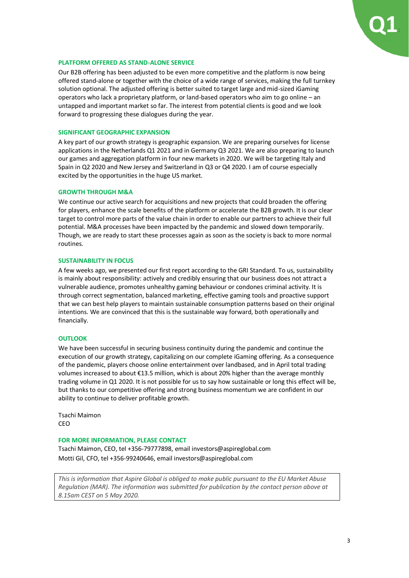

### **PLATFORM OFFERED AS STAND-ALONE SERVICE**

Our B2B offering has been adjusted to be even more competitive and the platform is now being offered stand-alone or together with the choice of a wide range of services, making the full turnkey solution optional. The adjusted offering is better suited to target large and mid-sized iGaming operators who lack a proprietary platform, or land-based operators who aim to go online – an untapped and important market so far. The interest from potential clients is good and we look forward to progressing these dialogues during the year.

### **SIGNIFICANT GEOGRAPHIC EXPANSION**

A key part of our growth strategy is geographic expansion. We are preparing ourselves for license applications in the Netherlands Q1 2021 and in Germany Q3 2021. We are also preparing to launch our games and aggregation platform in four new markets in 2020. We will be targeting Italy and Spain in Q2 2020 and New Jersey and Switzerland in Q3 or Q4 2020. I am of course especially excited by the opportunities in the huge US market.

### **GROWTH THROUGH M&A**

We continue our active search for acquisitions and new projects that could broaden the offering for players, enhance the scale benefits of the platform or accelerate the B2B growth. It is our clear target to control more parts of the value chain in order to enable our partners to achieve their full potential. M&A processes have been impacted by the pandemic and slowed down temporarily. Though, we are ready to start these processes again as soon as the society is back to more normal routines.

### **SUSTAINABILITY IN FOCUS**

A few weeks ago, we presented our first report according to the GRI Standard. To us, sustainability is mainly about responsibility: actively and credibly ensuring that our business does not attract a vulnerable audience, promotes unhealthy gaming behaviour or condones criminal activity. It is through correct segmentation, balanced marketing, effective gaming tools and proactive support that we can best help players to maintain sustainable consumption patterns based on their original intentions. We are convinced that this is the sustainable way forward, both operationally and financially.

## **OUTLOOK**

We have been successful in securing business continuity during the pandemic and continue the execution of our growth strategy, capitalizing on our complete iGaming offering. As a consequence of the pandemic, players choose online entertainment over landbased, and in April total trading volumes increased to about €13.5 million, which is about 20% higher than the average monthly trading volume in Q1 2020. It is not possible for us to say how sustainable or long this effect will be, but thanks to our competitive offering and strong business momentum we are confident in our ability to continue to deliver profitable growth.

Tsachi Maimon CEO

#### **FOR MORE INFORMATION, PLEASE CONTACT**

Tsachi Maimon, CEO, tel +356-79777898, email investors@aspireglobal.com Motti Gil, CFO, tel +356-99240646, email investors@aspireglobal.com

*This is information that Aspire Global is obliged to make public pursuant to the EU Market Abuse Regulation (MAR). The information was submitted for publication by the contact person above at 8.15am CEST on 5 May 2020.*